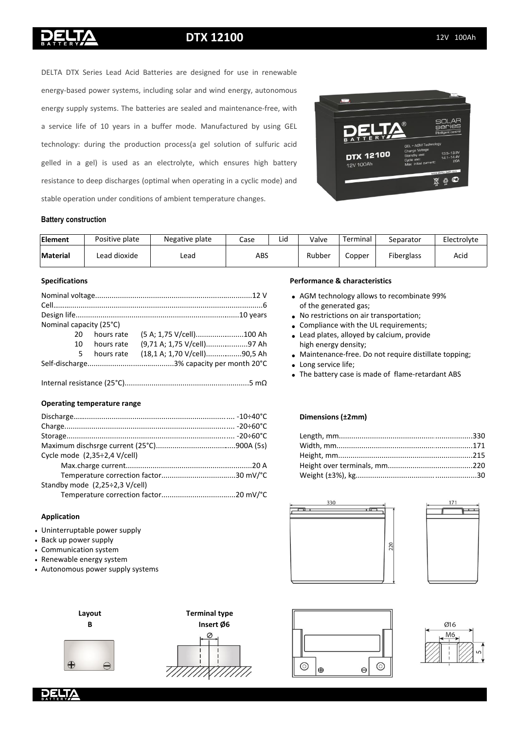## **DTX 12100** 12V 100Ah

energy-based power systems, including solar and wind energy, autonomous energy supply systems. The batteries are sealed and maintenance-free, with a service life of 10 years in a buffer mode. Manufactured by using GEL technology: during the production process(a gel solution of sulfuric acid gelled in a gel) is used as an electrolyte, which ensures high battery resistance to deep discharges (optimal when operating in a cyclic mode) and stable operation under conditions of ambient temperature changes.

DELTA DTX Series Lead Acid Batteries are designed for use in renewable



#### **Battery construction**

| Element  | Positive plate | Negative plate | Lid<br>Case |  | Valve  | Terminal | Separator         | Electrolyte |
|----------|----------------|----------------|-------------|--|--------|----------|-------------------|-------------|
| Material | Lead dioxide   | Lead           | ABS         |  | Rubber | Copper   | <b>Fiberglass</b> | Acid        |

#### **Specifications**

| Nominal capacity (25°C) |            |                              |  |
|-------------------------|------------|------------------------------|--|
| 20                      | hours rate | (5 A; 1,75 V/cell)100 Ah     |  |
| 10                      | hours rate | (9,71 A; 1,75 V/cell)97 Ah   |  |
| 5                       | hours rate | (18,1 A; 1,70 V/cell)90,5 Ah |  |
|                         |            |                              |  |

...............................................5 mΩ • Internal resistance (25°С)...........................................................................

#### **Operating temperature range**

|                                              | <b>Dimensi</b> |
|----------------------------------------------|----------------|
|                                              |                |
|                                              | Length,        |
|                                              | Width, r       |
| Cycle mode (2,35÷2,4 V/cell)                 | Height,        |
|                                              | Height o       |
|                                              | Weight (       |
| Standby mode $(2,25\div 2,3 \text{ V/cell})$ |                |
|                                              |                |
|                                              |                |

#### **Application**

- Uninterruptable power supply
- Back up power supply
- Communication system
- Renewable energy system
- Autonomous power supply systems





#### **Performance & characteristics**

- AGM technology allows to recombinate 99% of the generated gas;
- No restrictions on air transportation;
- Compliance with the UL requirements;
	- Lead plates, alloyed by calcium, provide high energy density;
	- Maintenance-free. Do not require distillate topping;
- Long service life;
- The battery case is made of flame-retardant ABS

#### **Dimensions (±2mm)**

| n factor30 mV/°C |  |
|------------------|--|